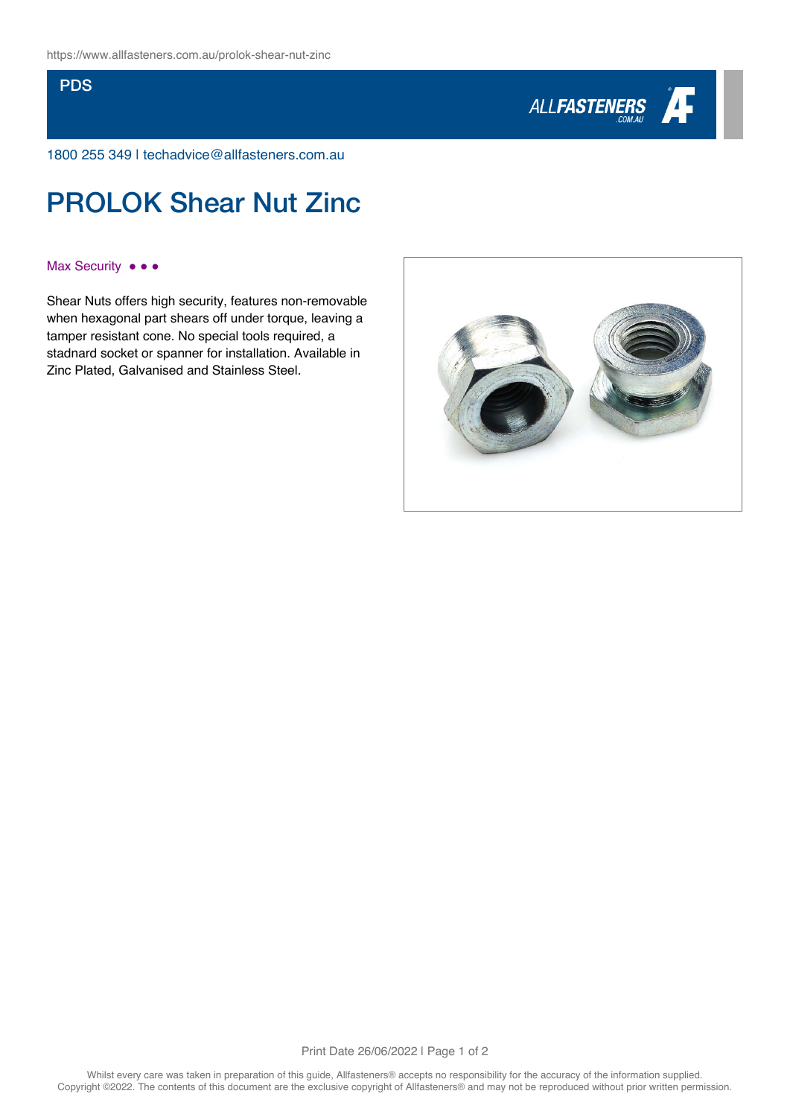## **PDS**



1800 255 349 | techadvice@allfasteners.com.au

# PROLOK Shear Nut Zinc

#### Max Security •••

Shear Nuts offers high security, features non-removable when hexagonal part shears off under torque, leaving a tamper resistant cone. No special tools required, a stadnard socket or spanner for installation. Available in Zinc Plated, Galvanised and Stainless Steel.